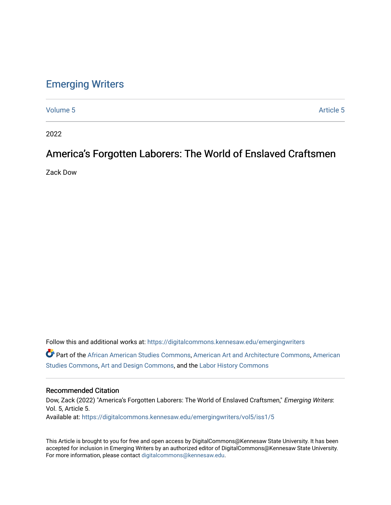### [Emerging Writers](https://digitalcommons.kennesaw.edu/emergingwriters)

[Volume 5](https://digitalcommons.kennesaw.edu/emergingwriters/vol5) Article 5

2022

## America's Forgotten Laborers: The World of Enslaved Craftsmen

Zack Dow

Follow this and additional works at: [https://digitalcommons.kennesaw.edu/emergingwriters](https://digitalcommons.kennesaw.edu/emergingwriters?utm_source=digitalcommons.kennesaw.edu%2Femergingwriters%2Fvol5%2Fiss1%2F5&utm_medium=PDF&utm_campaign=PDFCoverPages)  Part of the [African American Studies Commons,](http://network.bepress.com/hgg/discipline/567?utm_source=digitalcommons.kennesaw.edu%2Femergingwriters%2Fvol5%2Fiss1%2F5&utm_medium=PDF&utm_campaign=PDFCoverPages) [American Art and Architecture Commons,](http://network.bepress.com/hgg/discipline/511?utm_source=digitalcommons.kennesaw.edu%2Femergingwriters%2Fvol5%2Fiss1%2F5&utm_medium=PDF&utm_campaign=PDFCoverPages) [American](http://network.bepress.com/hgg/discipline/439?utm_source=digitalcommons.kennesaw.edu%2Femergingwriters%2Fvol5%2Fiss1%2F5&utm_medium=PDF&utm_campaign=PDFCoverPages)  [Studies Commons,](http://network.bepress.com/hgg/discipline/439?utm_source=digitalcommons.kennesaw.edu%2Femergingwriters%2Fvol5%2Fiss1%2F5&utm_medium=PDF&utm_campaign=PDFCoverPages) [Art and Design Commons](http://network.bepress.com/hgg/discipline/1049?utm_source=digitalcommons.kennesaw.edu%2Femergingwriters%2Fvol5%2Fiss1%2F5&utm_medium=PDF&utm_campaign=PDFCoverPages), and the [Labor History Commons](http://network.bepress.com/hgg/discipline/1254?utm_source=digitalcommons.kennesaw.edu%2Femergingwriters%2Fvol5%2Fiss1%2F5&utm_medium=PDF&utm_campaign=PDFCoverPages) 

#### Recommended Citation

Dow, Zack (2022) "America's Forgotten Laborers: The World of Enslaved Craftsmen," Emerging Writers: Vol. 5, Article 5. Available at: [https://digitalcommons.kennesaw.edu/emergingwriters/vol5/iss1/5](https://digitalcommons.kennesaw.edu/emergingwriters/vol5/iss1/5?utm_source=digitalcommons.kennesaw.edu%2Femergingwriters%2Fvol5%2Fiss1%2F5&utm_medium=PDF&utm_campaign=PDFCoverPages) 

This Article is brought to you for free and open access by DigitalCommons@Kennesaw State University. It has been accepted for inclusion in Emerging Writers by an authorized editor of DigitalCommons@Kennesaw State University. For more information, please contact [digitalcommons@kennesaw.edu.](mailto:digitalcommons@kennesaw.edu)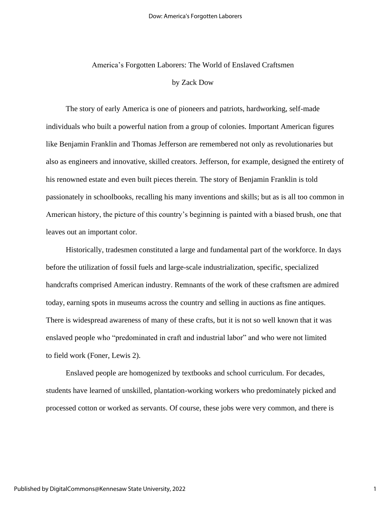# America's Forgotten Laborers: The World of Enslaved Craftsmen by Zack Dow

The story of early America is one of pioneers and patriots, hardworking, self-made individuals who built a powerful nation from a group of colonies. Important American figures like Benjamin Franklin and Thomas Jefferson are remembered not only as revolutionaries but also as engineers and innovative, skilled creators. Jefferson, for example, designed the entirety of his renowned estate and even built pieces therein. The story of Benjamin Franklin is told passionately in schoolbooks, recalling his many inventions and skills; but as is all too common in American history, the picture of this country's beginning is painted with a biased brush, one that leaves out an important color.

Historically, tradesmen constituted a large and fundamental part of the workforce. In days before the utilization of fossil fuels and large-scale industrialization, specific, specialized handcrafts comprised American industry. Remnants of the work of these craftsmen are admired today, earning spots in museums across the country and selling in auctions as fine antiques. There is widespread awareness of many of these crafts, but it is not so well known that it was enslaved people who "predominated in craft and industrial labor" and who were not limited to field work (Foner, Lewis 2).

Enslaved people are homogenized by textbooks and school curriculum. For decades, students have learned of unskilled, plantation-working workers who predominately picked and processed cotton or worked as servants. Of course, these jobs were very common, and there is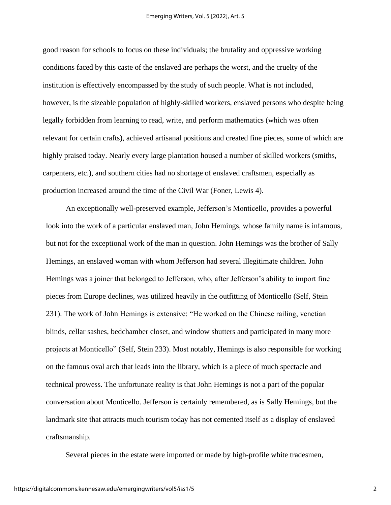good reason for schools to focus on these individuals; the brutality and oppressive working conditions faced by this caste of the enslaved are perhaps the worst, and the cruelty of the institution is effectively encompassed by the study of such people. What is not included, however, is the sizeable population of highly-skilled workers, enslaved persons who despite being legally forbidden from learning to read, write, and perform mathematics (which was often relevant for certain crafts), achieved artisanal positions and created fine pieces, some of which are highly praised today. Nearly every large plantation housed a number of skilled workers (smiths, carpenters, etc.), and southern cities had no shortage of enslaved craftsmen, especially as production increased around the time of the Civil War (Foner, Lewis 4).

An exceptionally well-preserved example, Jefferson's Monticello, provides a powerful look into the work of a particular enslaved man, John Hemings, whose family name is infamous, but not for the exceptional work of the man in question. John Hemings was the brother of Sally Hemings, an enslaved woman with whom Jefferson had several illegitimate children. John Hemings was a joiner that belonged to Jefferson, who, after Jefferson's ability to import fine pieces from Europe declines, was utilized heavily in the outfitting of Monticello (Self, Stein 231). The work of John Hemings is extensive: "He worked on the Chinese railing, venetian blinds, cellar sashes, bedchamber closet, and window shutters and participated in many more projects at Monticello" (Self, Stein 233). Most notably, Hemings is also responsible for working on the famous oval arch that leads into the library, which is a piece of much spectacle and technical prowess. The unfortunate reality is that John Hemings is not a part of the popular conversation about Monticello. Jefferson is certainly remembered, as is Sally Hemings, but the landmark site that attracts much tourism today has not cemented itself as a display of enslaved craftsmanship.

Several pieces in the estate were imported or made by high-profile white tradesmen,

2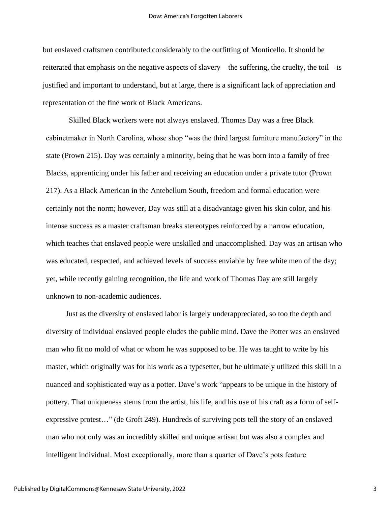but enslaved craftsmen contributed considerably to the outfitting of Monticello. It should be reiterated that emphasis on the negative aspects of slavery—the suffering, the cruelty, the toil—is justified and important to understand, but at large, there is a significant lack of appreciation and representation of the fine work of Black Americans.

Skilled Black workers were not always enslaved. Thomas Day was a free Black cabinetmaker in North Carolina, whose shop "was the third largest furniture manufactory" in the state (Prown 215). Day was certainly a minority, being that he was born into a family of free Blacks, apprenticing under his father and receiving an education under a private tutor (Prown 217). As a Black American in the Antebellum South, freedom and formal education were certainly not the norm; however, Day was still at a disadvantage given his skin color, and his intense success as a master craftsman breaks stereotypes reinforced by a narrow education, which teaches that enslaved people were unskilled and unaccomplished. Day was an artisan who was educated, respected, and achieved levels of success enviable by free white men of the day; yet, while recently gaining recognition, the life and work of Thomas Day are still largely unknown to non-academic audiences.

Just as the diversity of enslaved labor is largely underappreciated, so too the depth and diversity of individual enslaved people eludes the public mind. Dave the Potter was an enslaved man who fit no mold of what or whom he was supposed to be. He was taught to write by his master, which originally was for his work as a typesetter, but he ultimately utilized this skill in a nuanced and sophisticated way as a potter. Dave's work "appears to be unique in the history of pottery. That uniqueness stems from the artist, his life, and his use of his craft as a form of selfexpressive protest…" (de Groft 249). Hundreds of surviving pots tell the story of an enslaved man who not only was an incredibly skilled and unique artisan but was also a complex and intelligent individual. Most exceptionally, more than a quarter of Dave's pots feature

3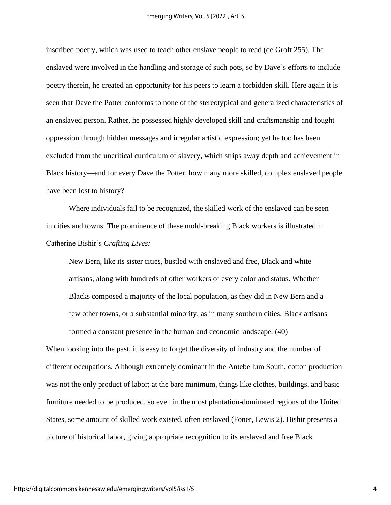inscribed poetry, which was used to teach other enslave people to read (de Groft 255). The enslaved were involved in the handling and storage of such pots, so by Dave's efforts to include poetry therein, he created an opportunity for his peers to learn a forbidden skill. Here again it is seen that Dave the Potter conforms to none of the stereotypical and generalized characteristics of an enslaved person. Rather, he possessed highly developed skill and craftsmanship and fought oppression through hidden messages and irregular artistic expression; yet he too has been excluded from the uncritical curriculum of slavery, which strips away depth and achievement in Black history—and for every Dave the Potter, how many more skilled, complex enslaved people have been lost to history?

Where individuals fail to be recognized, the skilled work of the enslaved can be seen in cities and towns. The prominence of these mold-breaking Black workers is illustrated in Catherine Bishir's *Crafting Lives:*

New Bern, like its sister cities, bustled with enslaved and free, Black and white artisans, along with hundreds of other workers of every color and status. Whether Blacks composed a majority of the local population, as they did in New Bern and a few other towns, or a substantial minority, as in many southern cities, Black artisans formed a constant presence in the human and economic landscape. (40)

When looking into the past, it is easy to forget the diversity of industry and the number of different occupations. Although extremely dominant in the Antebellum South, cotton production was not the only product of labor; at the bare minimum, things like clothes, buildings, and basic furniture needed to be produced, so even in the most plantation-dominated regions of the United States, some amount of skilled work existed, often enslaved (Foner, Lewis 2). Bishir presents a picture of historical labor, giving appropriate recognition to its enslaved and free Black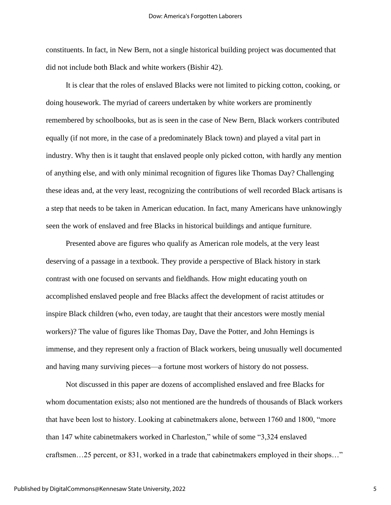constituents. In fact, in New Bern, not a single historical building project was documented that did not include both Black and white workers (Bishir 42).

It is clear that the roles of enslaved Blacks were not limited to picking cotton, cooking, or doing housework. The myriad of careers undertaken by white workers are prominently remembered by schoolbooks, but as is seen in the case of New Bern, Black workers contributed equally (if not more, in the case of a predominately Black town) and played a vital part in industry. Why then is it taught that enslaved people only picked cotton, with hardly any mention of anything else, and with only minimal recognition of figures like Thomas Day? Challenging these ideas and, at the very least, recognizing the contributions of well recorded Black artisans is a step that needs to be taken in American education. In fact, many Americans have unknowingly seen the work of enslaved and free Blacks in historical buildings and antique furniture.

Presented above are figures who qualify as American role models, at the very least deserving of a passage in a textbook. They provide a perspective of Black history in stark contrast with one focused on servants and fieldhands. How might educating youth on accomplished enslaved people and free Blacks affect the development of racist attitudes or inspire Black children (who, even today, are taught that their ancestors were mostly menial workers)? The value of figures like Thomas Day, Dave the Potter, and John Hemings is immense, and they represent only a fraction of Black workers, being unusually well documented and having many surviving pieces—a fortune most workers of history do not possess.

Not discussed in this paper are dozens of accomplished enslaved and free Blacks for whom documentation exists; also not mentioned are the hundreds of thousands of Black workers that have been lost to history. Looking at cabinetmakers alone, between 1760 and 1800, "more than 147 white cabinetmakers worked in Charleston," while of some "3,324 enslaved craftsmen…25 percent, or 831, worked in a trade that cabinetmakers employed in their shops…"

5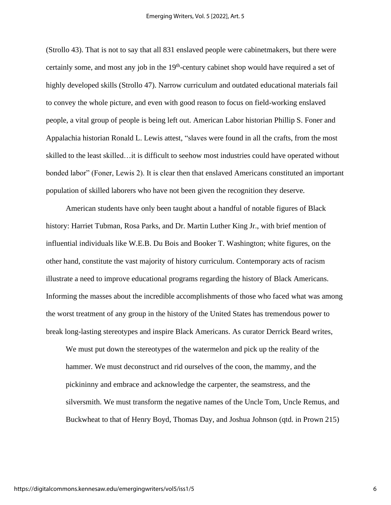(Strollo 43). That is not to say that all 831 enslaved people were cabinetmakers, but there were certainly some, and most any job in the  $19<sup>th</sup>$ -century cabinet shop would have required a set of highly developed skills (Strollo 47). Narrow curriculum and outdated educational materials fail to convey the whole picture, and even with good reason to focus on field-working enslaved people, a vital group of people is being left out. American Labor historian Phillip S. Foner and Appalachia historian Ronald L. Lewis attest, "slaves were found in all the crafts, from the most skilled to the least skilled…it is difficult to seehow most industries could have operated without bonded labor" (Foner, Lewis 2). It is clear then that enslaved Americans constituted an important population of skilled laborers who have not been given the recognition they deserve.

American students have only been taught about a handful of notable figures of Black history: Harriet Tubman, Rosa Parks, and Dr. Martin Luther King Jr., with brief mention of influential individuals like W.E.B. Du Bois and Booker T. Washington; white figures, on the other hand, constitute the vast majority of history curriculum. Contemporary acts of racism illustrate a need to improve educational programs regarding the history of Black Americans. Informing the masses about the incredible accomplishments of those who faced what was among the worst treatment of any group in the history of the United States has tremendous power to break long-lasting stereotypes and inspire Black Americans. As curator Derrick Beard writes,

We must put down the stereotypes of the watermelon and pick up the reality of the hammer. We must deconstruct and rid ourselves of the coon, the mammy, and the pickininny and embrace and acknowledge the carpenter, the seamstress, and the silversmith. We must transform the negative names of the Uncle Tom, Uncle Remus, and Buckwheat to that of Henry Boyd, Thomas Day, and Joshua Johnson (qtd. in Prown 215)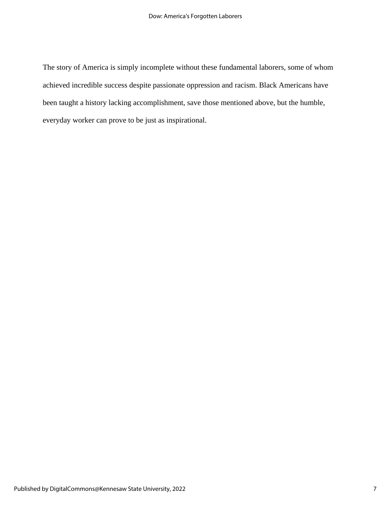The story of America is simply incomplete without these fundamental laborers, some of whom achieved incredible success despite passionate oppression and racism. Black Americans have been taught a history lacking accomplishment, save those mentioned above, but the humble, everyday worker can prove to be just as inspirational.